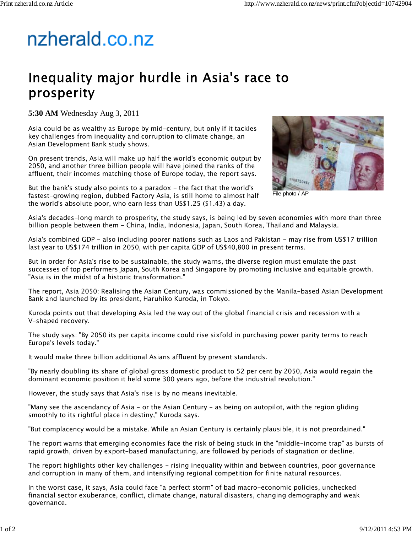## nzherald.co.nz

## Inequality major hurdle in Asia's race to prosperity

**5:30 AM** Wednesday Aug 3, 2011

Asia could be as wealthy as Europe by mid-century, but only if it tackles key challenges from inequality and corruption to climate change, an Asian Development Bank study shows.

On present trends, Asia will make up half the world's economic output by 2050, and another three billion people will have joined the ranks of the affluent, their incomes matching those of Europe today, the report says.

But the bank's study also points to a paradox  $-$  the fact that the world's fastest-growing region, dubbed Factory Asia, is still home to almost half the world's absolute poor, who earn less than US\$1.25 (\$1.43) a day.



File photo / AP

Asia's decades-long march to prosperity, the study says, is being led by seven economies with more than three billion people between them - China, India, Indonesia, Japan, South Korea, Thailand and Malaysia.

Asia's combined GDP - also including poorer nations such as Laos and Pakistan - may rise from US\$17 trillion last year to US\$174 trillion in 2050, with per capita GDP of US\$40,800 in present terms.

But in order for Asia's rise to be sustainable, the study warns, the diverse region must emulate the past successes of top performers Japan, South Korea and Singapore by promoting inclusive and equitable growth. "Asia is in the midst of a historic transformation."

The report, Asia 2050: Realising the Asian Century, was commissioned by the Manila-based Asian Development Bank and launched by its president, Haruhiko Kuroda, in Tokyo.

Kuroda points out that developing Asia led the way out of the global financial crisis and recession with a V-shaped recovery.

The study says: "By 2050 its per capita income could rise sixfold in purchasing power parity terms to reach Europe's levels today."

It would make three billion additional Asians affluent by present standards.

"By nearly doubling its share of global gross domestic product to 52 per cent by 2050, Asia would regain the dominant economic position it held some 300 years ago, before the industrial revolution."

However, the study says that Asia's rise is by no means inevitable.

"Many see the ascendancy of Asia - or the Asian Century - as being on autopilot, with the region gliding smoothly to its rightful place in destiny," Kuroda says.

"But complacency would be a mistake. While an Asian Century is certainly plausible, it is not preordained."

The report warns that emerging economies face the risk of being stuck in the "middle-income trap" as bursts of rapid growth, driven by export-based manufacturing, are followed by periods of stagnation or decline.

The report highlights other key challenges – rising inequality within and between countries, poor governance and corruption in many of them, and intensifying regional competition for finite natural resources.

In the worst case, it says, Asia could face "a perfect storm" of bad macro-economic policies, unchecked financial sector exuberance, conflict, climate change, natural disasters, changing demography and weak governance.